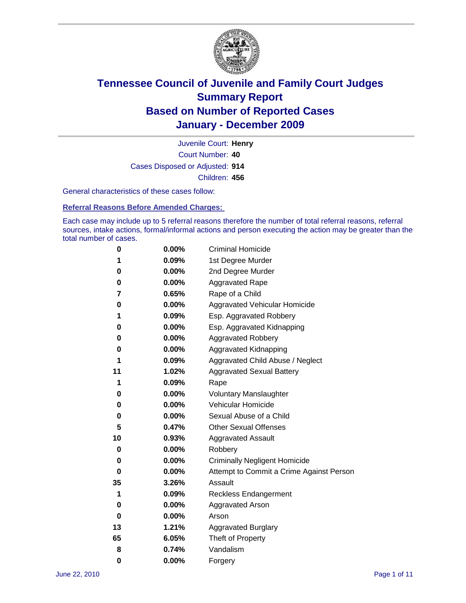

Court Number: **40** Juvenile Court: **Henry** Cases Disposed or Adjusted: **914** Children: **456**

General characteristics of these cases follow:

**Referral Reasons Before Amended Charges:** 

Each case may include up to 5 referral reasons therefore the number of total referral reasons, referral sources, intake actions, formal/informal actions and person executing the action may be greater than the total number of cases.

| 0  | 0.00%    | <b>Criminal Homicide</b>                 |
|----|----------|------------------------------------------|
| 1  | 0.09%    | 1st Degree Murder                        |
| 0  | 0.00%    | 2nd Degree Murder                        |
| 0  | 0.00%    | <b>Aggravated Rape</b>                   |
| 7  | 0.65%    | Rape of a Child                          |
| 0  | 0.00%    | Aggravated Vehicular Homicide            |
| 1  | 0.09%    | Esp. Aggravated Robbery                  |
| 0  | 0.00%    | Esp. Aggravated Kidnapping               |
| 0  | 0.00%    | <b>Aggravated Robbery</b>                |
| 0  | 0.00%    | Aggravated Kidnapping                    |
| 1  | 0.09%    | Aggravated Child Abuse / Neglect         |
| 11 | 1.02%    | <b>Aggravated Sexual Battery</b>         |
| 1  | 0.09%    | Rape                                     |
| 0  | $0.00\%$ | <b>Voluntary Manslaughter</b>            |
| 0  | 0.00%    | Vehicular Homicide                       |
| 0  | 0.00%    | Sexual Abuse of a Child                  |
| 5  | 0.47%    | <b>Other Sexual Offenses</b>             |
| 10 | 0.93%    | <b>Aggravated Assault</b>                |
| 0  | $0.00\%$ | Robbery                                  |
| 0  | 0.00%    | <b>Criminally Negligent Homicide</b>     |
| 0  | 0.00%    | Attempt to Commit a Crime Against Person |
| 35 | 3.26%    | Assault                                  |
| 1  | 0.09%    | <b>Reckless Endangerment</b>             |
| 0  | 0.00%    | <b>Aggravated Arson</b>                  |
| 0  | 0.00%    | Arson                                    |
| 13 | 1.21%    | <b>Aggravated Burglary</b>               |
| 65 | 6.05%    | Theft of Property                        |
| 8  | 0.74%    | Vandalism                                |
| 0  | 0.00%    | Forgery                                  |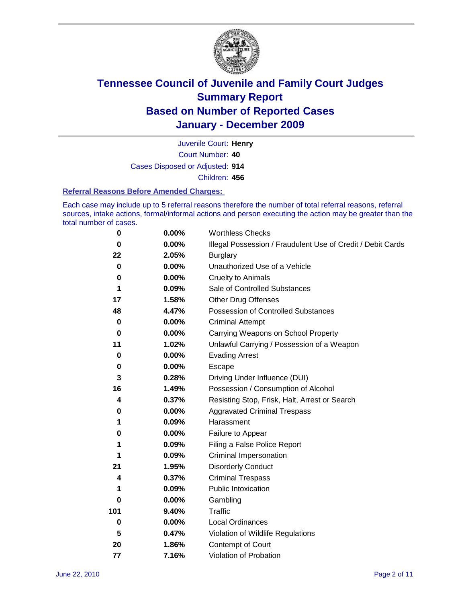

Court Number: **40** Juvenile Court: **Henry** Cases Disposed or Adjusted: **914** Children: **456**

#### **Referral Reasons Before Amended Charges:**

Each case may include up to 5 referral reasons therefore the number of total referral reasons, referral sources, intake actions, formal/informal actions and person executing the action may be greater than the total number of cases.

| $\pmb{0}$ | 0.00%    | <b>Worthless Checks</b>                                     |
|-----------|----------|-------------------------------------------------------------|
| 0         | 0.00%    | Illegal Possession / Fraudulent Use of Credit / Debit Cards |
| 22        | 2.05%    | <b>Burglary</b>                                             |
| $\bf{0}$  | $0.00\%$ | Unauthorized Use of a Vehicle                               |
| 0         | $0.00\%$ | <b>Cruelty to Animals</b>                                   |
| 1         | 0.09%    | Sale of Controlled Substances                               |
| 17        | 1.58%    | <b>Other Drug Offenses</b>                                  |
| 48        | 4.47%    | Possession of Controlled Substances                         |
| 0         | $0.00\%$ | <b>Criminal Attempt</b>                                     |
| 0         | 0.00%    | Carrying Weapons on School Property                         |
| 11        | 1.02%    | Unlawful Carrying / Possession of a Weapon                  |
| 0         | $0.00\%$ | <b>Evading Arrest</b>                                       |
| 0         | 0.00%    | Escape                                                      |
| 3         | 0.28%    | Driving Under Influence (DUI)                               |
| 16        | 1.49%    | Possession / Consumption of Alcohol                         |
| 4         | 0.37%    | Resisting Stop, Frisk, Halt, Arrest or Search               |
| 0         | $0.00\%$ | <b>Aggravated Criminal Trespass</b>                         |
| 1         | 0.09%    | Harassment                                                  |
| 0         | 0.00%    | Failure to Appear                                           |
| 1         | 0.09%    | Filing a False Police Report                                |
| 1         | 0.09%    | Criminal Impersonation                                      |
| 21        | 1.95%    | <b>Disorderly Conduct</b>                                   |
| 4         | 0.37%    | <b>Criminal Trespass</b>                                    |
| 1         | 0.09%    | Public Intoxication                                         |
| 0         | $0.00\%$ | Gambling                                                    |
| 101       | 9.40%    | <b>Traffic</b>                                              |
| 0         | $0.00\%$ | Local Ordinances                                            |
| 5         | 0.47%    | Violation of Wildlife Regulations                           |
| 20        | 1.86%    | Contempt of Court                                           |
| 77        | 7.16%    | Violation of Probation                                      |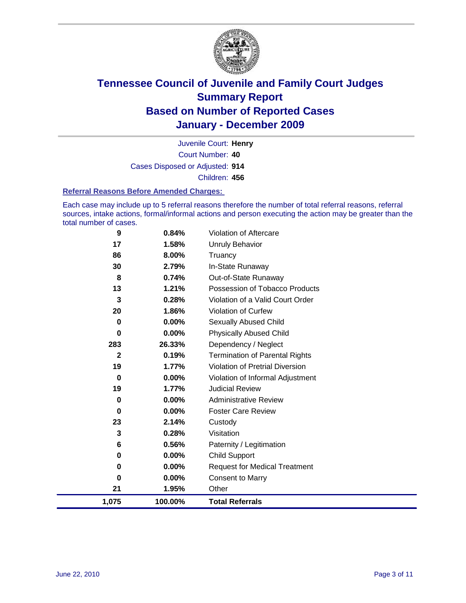

Court Number: **40** Juvenile Court: **Henry** Cases Disposed or Adjusted: **914** Children: **456**

#### **Referral Reasons Before Amended Charges:**

Each case may include up to 5 referral reasons therefore the number of total referral reasons, referral sources, intake actions, formal/informal actions and person executing the action may be greater than the total number of cases.

| 9            | 0.84%    | Violation of Aftercare                 |
|--------------|----------|----------------------------------------|
| 17           | 1.58%    | <b>Unruly Behavior</b>                 |
| 86           | 8.00%    | Truancy                                |
| 30           | 2.79%    | In-State Runaway                       |
| 8            | 0.74%    | Out-of-State Runaway                   |
| 13           | 1.21%    | Possession of Tobacco Products         |
| 3            | 0.28%    | Violation of a Valid Court Order       |
| 20           | 1.86%    | <b>Violation of Curfew</b>             |
| $\bf{0}$     | $0.00\%$ | Sexually Abused Child                  |
| 0            | 0.00%    | <b>Physically Abused Child</b>         |
| 283          | 26.33%   | Dependency / Neglect                   |
| $\mathbf{2}$ | 0.19%    | <b>Termination of Parental Rights</b>  |
| 19           | 1.77%    | <b>Violation of Pretrial Diversion</b> |
| $\mathbf 0$  | 0.00%    | Violation of Informal Adjustment       |
| 19           | 1.77%    | <b>Judicial Review</b>                 |
| 0            | $0.00\%$ | <b>Administrative Review</b>           |
| 0            | 0.00%    | <b>Foster Care Review</b>              |
| 23           | 2.14%    | Custody                                |
| 3            | 0.28%    | Visitation                             |
| 6            | 0.56%    | Paternity / Legitimation               |
| 0            | 0.00%    | <b>Child Support</b>                   |
| 0            | 0.00%    | <b>Request for Medical Treatment</b>   |
| 0            | 0.00%    | Consent to Marry                       |
| 21           | 1.95%    | Other                                  |
| 1,075        | 100.00%  | <b>Total Referrals</b>                 |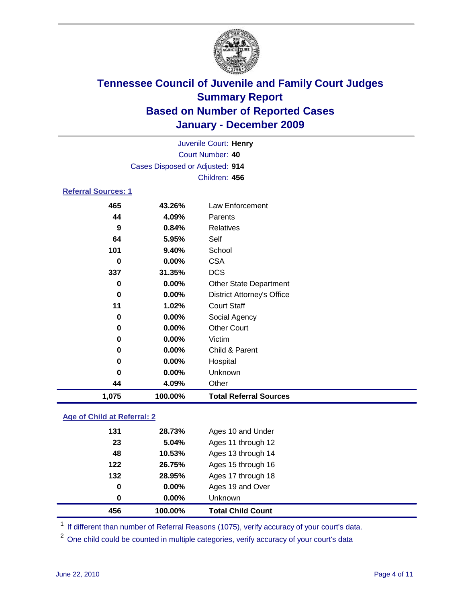

|                            | Juvenile Court: Henry           |                                   |  |  |
|----------------------------|---------------------------------|-----------------------------------|--|--|
| Court Number: 40           |                                 |                                   |  |  |
|                            | Cases Disposed or Adjusted: 914 |                                   |  |  |
|                            |                                 | Children: 456                     |  |  |
| <b>Referral Sources: 1</b> |                                 |                                   |  |  |
| 465                        | 43.26%                          | Law Enforcement                   |  |  |
| 44                         | 4.09%                           | Parents                           |  |  |
| 9                          | 0.84%                           | <b>Relatives</b>                  |  |  |
| 64                         | 5.95%                           | Self                              |  |  |
| 101                        | 9.40%                           | School                            |  |  |
| 0                          | 0.00%                           | <b>CSA</b>                        |  |  |
| 337                        | 31.35%                          | <b>DCS</b>                        |  |  |
| 0                          | $0.00\%$                        | <b>Other State Department</b>     |  |  |
| $\bf{0}$                   | $0.00\%$                        | <b>District Attorney's Office</b> |  |  |
| 11                         | 1.02%                           | <b>Court Staff</b>                |  |  |
| 0                          | 0.00%                           | Social Agency                     |  |  |
| 0                          | 0.00%                           | <b>Other Court</b>                |  |  |
| 0                          | 0.00%                           | Victim                            |  |  |
| 0                          | 0.00%                           | Child & Parent                    |  |  |
| 0                          | 0.00%                           | Hospital                          |  |  |
| 0                          | 0.00%                           | Unknown                           |  |  |
| 44                         | 4.09%                           | Other                             |  |  |
| 1,075                      | 100.00%                         | <b>Total Referral Sources</b>     |  |  |

### **Age of Child at Referral: 2**

| 0   | $0.00\%$ | Ages 19 and Over<br><b>Unknown</b> |
|-----|----------|------------------------------------|
|     |          |                                    |
| 0   | 0.00%    |                                    |
| 132 | 28.95%   | Ages 17 through 18                 |
| 122 | 26.75%   | Ages 15 through 16                 |
| 48  | 10.53%   | Ages 13 through 14                 |
| 23  | 5.04%    | Ages 11 through 12                 |
| 131 | 28.73%   | Ages 10 and Under                  |
|     |          |                                    |

<sup>1</sup> If different than number of Referral Reasons (1075), verify accuracy of your court's data.

<sup>2</sup> One child could be counted in multiple categories, verify accuracy of your court's data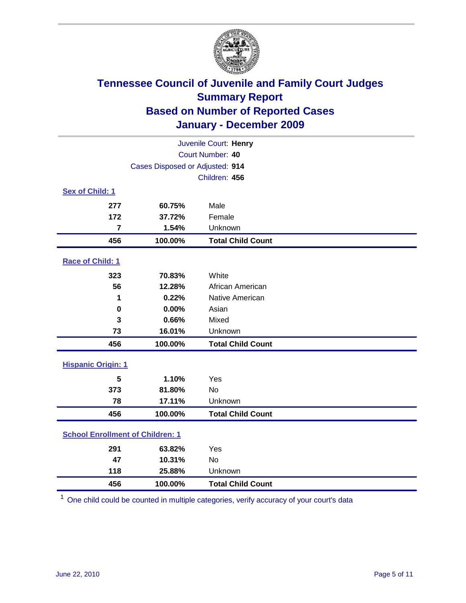

|                                         | Juvenile Court: Henry           |                          |  |  |  |
|-----------------------------------------|---------------------------------|--------------------------|--|--|--|
|                                         | Court Number: 40                |                          |  |  |  |
|                                         | Cases Disposed or Adjusted: 914 |                          |  |  |  |
|                                         |                                 | Children: 456            |  |  |  |
| Sex of Child: 1                         |                                 |                          |  |  |  |
| 277                                     | 60.75%                          | Male                     |  |  |  |
| 172                                     | 37.72%                          | Female                   |  |  |  |
| $\overline{7}$                          | 1.54%                           | Unknown                  |  |  |  |
| 456                                     | 100.00%                         | <b>Total Child Count</b> |  |  |  |
| Race of Child: 1                        |                                 |                          |  |  |  |
| 323                                     | 70.83%                          | White                    |  |  |  |
| 56                                      | 12.28%                          | African American         |  |  |  |
| 1                                       | 0.22%                           | Native American          |  |  |  |
| $\mathbf 0$                             | 0.00%                           | Asian                    |  |  |  |
| 3                                       | 0.66%                           | Mixed                    |  |  |  |
| 73                                      | 16.01%                          | Unknown                  |  |  |  |
| 456                                     | 100.00%                         | <b>Total Child Count</b> |  |  |  |
| <b>Hispanic Origin: 1</b>               |                                 |                          |  |  |  |
| 5                                       | 1.10%                           | Yes                      |  |  |  |
| 373                                     | 81.80%                          | <b>No</b>                |  |  |  |
| 78                                      | 17.11%                          | Unknown                  |  |  |  |
| 456                                     | 100.00%                         | <b>Total Child Count</b> |  |  |  |
| <b>School Enrollment of Children: 1</b> |                                 |                          |  |  |  |
| 291                                     | 63.82%                          | Yes                      |  |  |  |
| 47                                      | 10.31%                          | No                       |  |  |  |
| 118                                     | 25.88%                          | Unknown                  |  |  |  |
| 456                                     | 100.00%                         | <b>Total Child Count</b> |  |  |  |

One child could be counted in multiple categories, verify accuracy of your court's data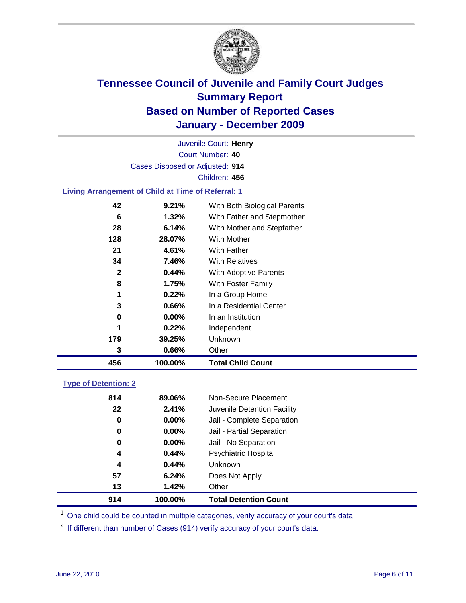

Court Number: **40** Juvenile Court: **Henry** Cases Disposed or Adjusted: **914** Children: **456**

#### **Living Arrangement of Child at Time of Referral: 1**

| 456 | 100.00%       | <b>Total Child Count</b>     |
|-----|---------------|------------------------------|
|     | 0.66%<br>3    | Other                        |
| 179 | 39.25%        | Unknown                      |
|     | 0.22%<br>1    | Independent                  |
|     | $0.00\%$<br>0 | In an Institution            |
|     | 3<br>$0.66\%$ | In a Residential Center      |
|     | 0.22%<br>1    | In a Group Home              |
|     | 8<br>1.75%    | With Foster Family           |
|     | 2<br>0.44%    | With Adoptive Parents        |
|     | 7.46%<br>34   | <b>With Relatives</b>        |
|     | 4.61%<br>21   | With Father                  |
| 128 | 28.07%        | <b>With Mother</b>           |
|     | 6.14%<br>28   | With Mother and Stepfather   |
|     | 6<br>1.32%    | With Father and Stepmother   |
|     | 42<br>9.21%   | With Both Biological Parents |
|     |               |                              |

### **Type of Detention: 2**

| 914 | 100.00%  | <b>Total Detention Count</b> |  |
|-----|----------|------------------------------|--|
| 13  | 1.42%    | Other                        |  |
| 57  | 6.24%    | Does Not Apply               |  |
| 4   | 0.44%    | <b>Unknown</b>               |  |
| 4   | 0.44%    | <b>Psychiatric Hospital</b>  |  |
| 0   | 0.00%    | Jail - No Separation         |  |
| 0   | $0.00\%$ | Jail - Partial Separation    |  |
| 0   | 0.00%    | Jail - Complete Separation   |  |
| 22  | 2.41%    | Juvenile Detention Facility  |  |
| 814 | 89.06%   | Non-Secure Placement         |  |
|     |          |                              |  |

<sup>1</sup> One child could be counted in multiple categories, verify accuracy of your court's data

<sup>2</sup> If different than number of Cases (914) verify accuracy of your court's data.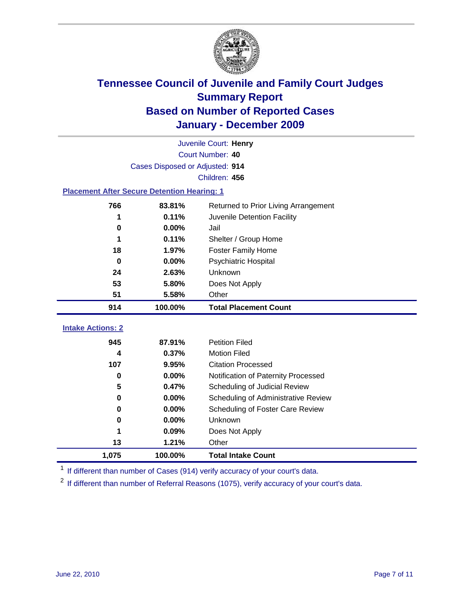

|                                                    | Juvenile Court: Henry           |                                      |  |  |  |
|----------------------------------------------------|---------------------------------|--------------------------------------|--|--|--|
|                                                    | Court Number: 40                |                                      |  |  |  |
|                                                    | Cases Disposed or Adjusted: 914 |                                      |  |  |  |
|                                                    |                                 | Children: 456                        |  |  |  |
| <b>Placement After Secure Detention Hearing: 1</b> |                                 |                                      |  |  |  |
| 766                                                | 83.81%                          | Returned to Prior Living Arrangement |  |  |  |
| 1                                                  | 0.11%                           | Juvenile Detention Facility          |  |  |  |
| 0                                                  | 0.00%                           | Jail                                 |  |  |  |
| 1                                                  | 0.11%                           | Shelter / Group Home                 |  |  |  |
| 18                                                 | 1.97%                           | <b>Foster Family Home</b>            |  |  |  |
| $\bf{0}$                                           | 0.00%                           | Psychiatric Hospital                 |  |  |  |
| 24                                                 | 2.63%                           | Unknown                              |  |  |  |
| 53                                                 | 5.80%                           | Does Not Apply                       |  |  |  |
| 51                                                 | 5.58%                           | Other                                |  |  |  |
| 914                                                | 100.00%                         | <b>Total Placement Count</b>         |  |  |  |
| <b>Intake Actions: 2</b>                           |                                 |                                      |  |  |  |
| 945                                                | 87.91%                          | <b>Petition Filed</b>                |  |  |  |
| 4                                                  | 0.37%                           | <b>Motion Filed</b>                  |  |  |  |
| 107                                                | 9.95%                           | <b>Citation Processed</b>            |  |  |  |
| $\bf{0}$                                           | 0.00%                           | Notification of Paternity Processed  |  |  |  |
| 5                                                  | 0.47%                           | Scheduling of Judicial Review        |  |  |  |
| 0                                                  | 0.00%                           | Scheduling of Administrative Review  |  |  |  |
| 0                                                  | 0.00%                           | Scheduling of Foster Care Review     |  |  |  |
| 0                                                  | 0.00%                           | Unknown                              |  |  |  |
| 1                                                  | 0.09%                           | Does Not Apply                       |  |  |  |
| 13                                                 | 1.21%                           | Other                                |  |  |  |
| 1,075                                              | 100.00%                         | <b>Total Intake Count</b>            |  |  |  |

<sup>1</sup> If different than number of Cases (914) verify accuracy of your court's data.

<sup>2</sup> If different than number of Referral Reasons (1075), verify accuracy of your court's data.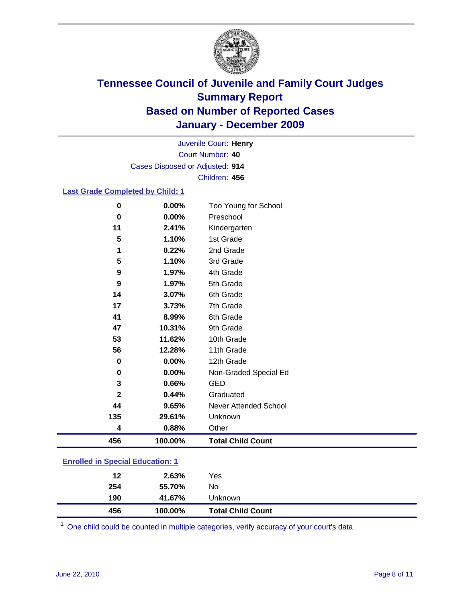

Court Number: **40** Juvenile Court: **Henry** Cases Disposed or Adjusted: **914** Children: **456**

#### **Last Grade Completed by Child: 1**

| 456         | 100.00% | <b>Total Child Count</b>     |
|-------------|---------|------------------------------|
| 4           | 0.88%   | Other                        |
| 135         | 29.61%  | Unknown                      |
| 44          | 9.65%   | <b>Never Attended School</b> |
| $\mathbf 2$ | 0.44%   | Graduated                    |
| 3           | 0.66%   | <b>GED</b>                   |
| 0           | 0.00%   | Non-Graded Special Ed        |
| 0           | 0.00%   | 12th Grade                   |
| 56          | 12.28%  | 11th Grade                   |
| 53          | 11.62%  | 10th Grade                   |
| 47          | 10.31%  | 9th Grade                    |
| 41          | 8.99%   | 8th Grade                    |
| 17          | 3.73%   | 7th Grade                    |
| 14          | 3.07%   | 6th Grade                    |
| 9           | 1.97%   | 5th Grade                    |
| 9           | 1.97%   | 4th Grade                    |
| 5           | 1.10%   | 3rd Grade                    |
| 1           | 0.22%   | 2nd Grade                    |
| 5           | 1.10%   | 1st Grade                    |
| 11          | 2.41%   | Kindergarten                 |
| $\bf{0}$    | 0.00%   | Preschool                    |
| $\mathbf 0$ | 0.00%   | Too Young for School         |

### **Enrolled in Special Education: 1**

| 456 | 100.00% | <b>Total Child Count</b> |  |
|-----|---------|--------------------------|--|
| 190 | 41.67%  | Unknown                  |  |
| 254 | 55.70%  | No                       |  |
| 12  | 2.63%   | Yes                      |  |
|     |         |                          |  |

One child could be counted in multiple categories, verify accuracy of your court's data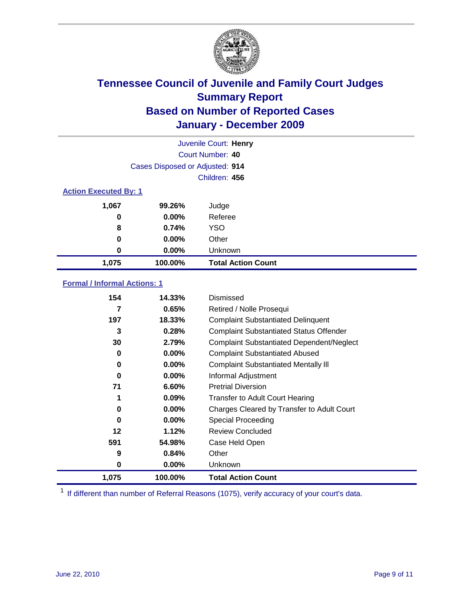

|                              | Juvenile Court: Henry           |                           |  |  |
|------------------------------|---------------------------------|---------------------------|--|--|
|                              |                                 | Court Number: 40          |  |  |
|                              | Cases Disposed or Adjusted: 914 |                           |  |  |
|                              |                                 | Children: 456             |  |  |
| <b>Action Executed By: 1</b> |                                 |                           |  |  |
| 1,067                        | 99.26%                          | Judge                     |  |  |
| 0                            | 0.00%                           | Referee                   |  |  |
| 8                            | 0.74%                           | <b>YSO</b>                |  |  |
| 0                            | $0.00\%$                        | Other                     |  |  |
| 0                            | 0.00%                           | Unknown                   |  |  |
| 1,075                        | 100.00%                         | <b>Total Action Count</b> |  |  |

### **Formal / Informal Actions: 1**

| 154      | 14.33%   | Dismissed                                        |
|----------|----------|--------------------------------------------------|
| 7        | 0.65%    | Retired / Nolle Prosequi                         |
| 197      | 18.33%   | <b>Complaint Substantiated Delinquent</b>        |
| 3        | 0.28%    | <b>Complaint Substantiated Status Offender</b>   |
| 30       | 2.79%    | <b>Complaint Substantiated Dependent/Neglect</b> |
| 0        | $0.00\%$ | <b>Complaint Substantiated Abused</b>            |
| 0        | $0.00\%$ | <b>Complaint Substantiated Mentally III</b>      |
| $\bf{0}$ | $0.00\%$ | Informal Adjustment                              |
| 71       | 6.60%    | <b>Pretrial Diversion</b>                        |
|          | $0.09\%$ | <b>Transfer to Adult Court Hearing</b>           |
| 0        | $0.00\%$ | Charges Cleared by Transfer to Adult Court       |
| 0        | $0.00\%$ | <b>Special Proceeding</b>                        |
| 12       | 1.12%    | <b>Review Concluded</b>                          |
| 591      | 54.98%   | Case Held Open                                   |
| 9        | 0.84%    | Other                                            |
| 0        | $0.00\%$ | <b>Unknown</b>                                   |
| 1,075    | 100.00%  | <b>Total Action Count</b>                        |

<sup>1</sup> If different than number of Referral Reasons (1075), verify accuracy of your court's data.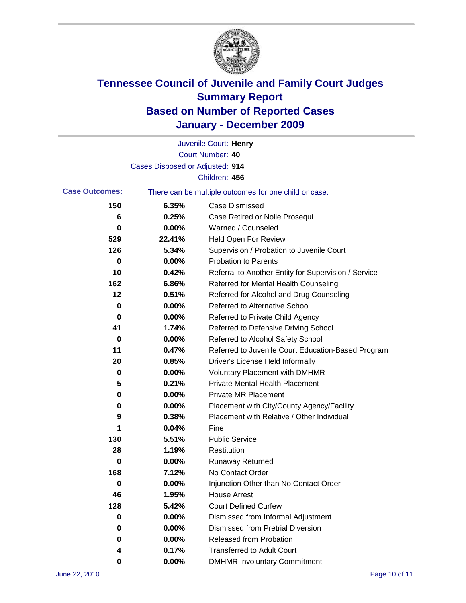

|                       |                                 | Juvenile Court: Henry                                 |
|-----------------------|---------------------------------|-------------------------------------------------------|
|                       |                                 | <b>Court Number: 40</b>                               |
|                       | Cases Disposed or Adjusted: 914 |                                                       |
|                       |                                 | Children: 456                                         |
| <b>Case Outcomes:</b> |                                 | There can be multiple outcomes for one child or case. |
| 150                   | 6.35%                           | <b>Case Dismissed</b>                                 |
| 6                     | 0.25%                           | Case Retired or Nolle Prosequi                        |
| 0                     | 0.00%                           | Warned / Counseled                                    |
| 529                   | 22.41%                          | Held Open For Review                                  |
| 126                   | 5.34%                           | Supervision / Probation to Juvenile Court             |
| 0                     | 0.00%                           | <b>Probation to Parents</b>                           |
| 10                    | 0.42%                           | Referral to Another Entity for Supervision / Service  |
| 162                   | 6.86%                           | Referred for Mental Health Counseling                 |
| 12                    | 0.51%                           | Referred for Alcohol and Drug Counseling              |
| 0                     | 0.00%                           | <b>Referred to Alternative School</b>                 |
| 0                     | 0.00%                           | Referred to Private Child Agency                      |
| 41                    | 1.74%                           | Referred to Defensive Driving School                  |
| 0                     | 0.00%                           | Referred to Alcohol Safety School                     |
| 11                    | 0.47%                           | Referred to Juvenile Court Education-Based Program    |
| 20                    | 0.85%                           | Driver's License Held Informally                      |
| 0                     | 0.00%                           | <b>Voluntary Placement with DMHMR</b>                 |
| 5                     | 0.21%                           | <b>Private Mental Health Placement</b>                |
| 0                     | 0.00%                           | <b>Private MR Placement</b>                           |
| 0                     | 0.00%                           | Placement with City/County Agency/Facility            |
| 9                     | 0.38%                           | Placement with Relative / Other Individual            |
| 1                     | 0.04%                           | Fine                                                  |
| 130                   | 5.51%                           | <b>Public Service</b>                                 |
| 28                    | 1.19%                           | Restitution                                           |
| 0                     | 0.00%                           | <b>Runaway Returned</b>                               |
| 168                   | 7.12%                           | No Contact Order                                      |
| $\pmb{0}$             | 0.00%                           | Injunction Other than No Contact Order                |
| 46                    | 1.95%                           | <b>House Arrest</b>                                   |
| 128                   | 5.42%                           | <b>Court Defined Curfew</b>                           |
| 0                     | 0.00%                           | Dismissed from Informal Adjustment                    |
| 0                     | 0.00%                           | <b>Dismissed from Pretrial Diversion</b>              |
| 0                     | 0.00%                           | Released from Probation                               |
| 4                     | 0.17%                           | <b>Transferred to Adult Court</b>                     |
| 0                     | $0.00\%$                        | <b>DMHMR Involuntary Commitment</b>                   |